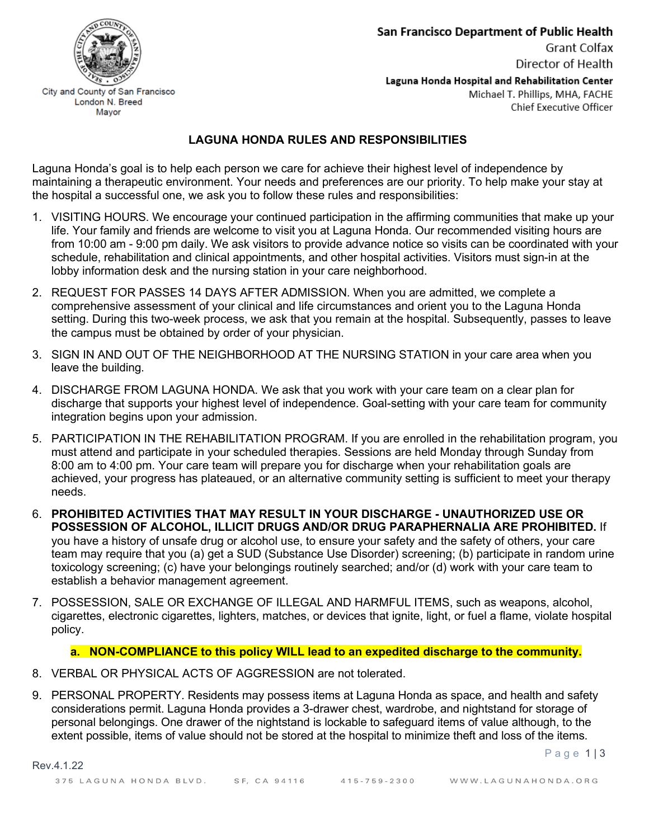

Grant Colfax Director of Health

Laguna Honda Hospital and Rehabilitation Center Michael T. Phillips, MHA, FACHE Chief Executive Officer

## **LAGUNA HONDA RULES AND RESPONSIBILITIES**

Laguna Honda's goal is to help each person we care for achieve their highest level of independence by maintaining a therapeutic environment. Your needs and preferences are our priority. To help make your stay at the hospital a successful one, we ask you to follow these rules and responsibilities:

- 1. VISITING HOURS. We encourage your continued participation in the affirming communities that make up your life. Your family and friends are welcome to visit you at Laguna Honda. Our recommended visiting hours are from 10:00 am - 9:00 pm daily. We ask visitors to provide advance notice so visits can be coordinated with your schedule, rehabilitation and clinical appointments, and other hospital activities. Visitors must sign-in at the lobby information desk and the nursing station in your care neighborhood.
- 2. REQUEST FOR PASSES 14 DAYS AFTER ADMISSION. When you are admitted, we complete a comprehensive assessment of your clinical and life circumstances and orient you to the Laguna Honda setting. During this two-week process, we ask that you remain at the hospital. Subsequently, passes to leave the campus must be obtained by order of your physician.
- 3. SIGN IN AND OUT OF THE NEIGHBORHOOD AT THE NURSING STATION in your care area when you leave the building.
- 4. DISCHARGE FROM LAGUNA HONDA. We ask that you work with your care team on a clear plan for discharge that supports your highest level of independence. Goal-setting with your care team for community integration begins upon your admission.
- 5. PARTICIPATION IN THE REHABILITATION PROGRAM. If you are enrolled in the rehabilitation program, you must attend and participate in your scheduled therapies. Sessions are held Monday through Sunday from 8:00 am to 4:00 pm. Your care team will prepare you for discharge when your rehabilitation goals are achieved, your progress has plateaued, or an alternative community setting is sufficient to meet your therapy needs.
- 6. **PROHIBITED ACTIVITIES THAT MAY RESULT IN YOUR DISCHARGE UNAUTHORIZED USE OR POSSESSION OF ALCOHOL, ILLICIT DRUGS AND/OR DRUG PARAPHERNALIA ARE PROHIBITED.** If you have a history of unsafe drug or alcohol use, to ensure your safety and the safety of others, your care team may require that you (a) get a SUD (Substance Use Disorder) screening; (b) participate in random urine toxicology screening; (c) have your belongings routinely searched; and/or (d) work with your care team to establish a behavior management agreement.
- 7. POSSESSION, SALE OR EXCHANGE OF ILLEGAL AND HARMFUL ITEMS, such as weapons, alcohol, cigarettes, electronic cigarettes, lighters, matches, or devices that ignite, light, or fuel a flame, violate hospital policy.

## **a. NON-COMPLIANCE to this policy WILL lead to an expedited discharge to the community.**

8. VERBAL OR PHYSICAL ACTS OF AGGRESSION are not tolerated.

Rev.4.1.22

9. PERSONAL PROPERTY. Residents may possess items at Laguna Honda as space, and health and safety considerations permit. Laguna Honda provides a 3-drawer chest, wardrobe, and nightstand for storage of personal belongings. One drawer of the nightstand is lockable to safeguard items of value although, to the extent possible, items of value should not be stored at the hospital to minimize theft and loss of the items.

Mayor

Page 113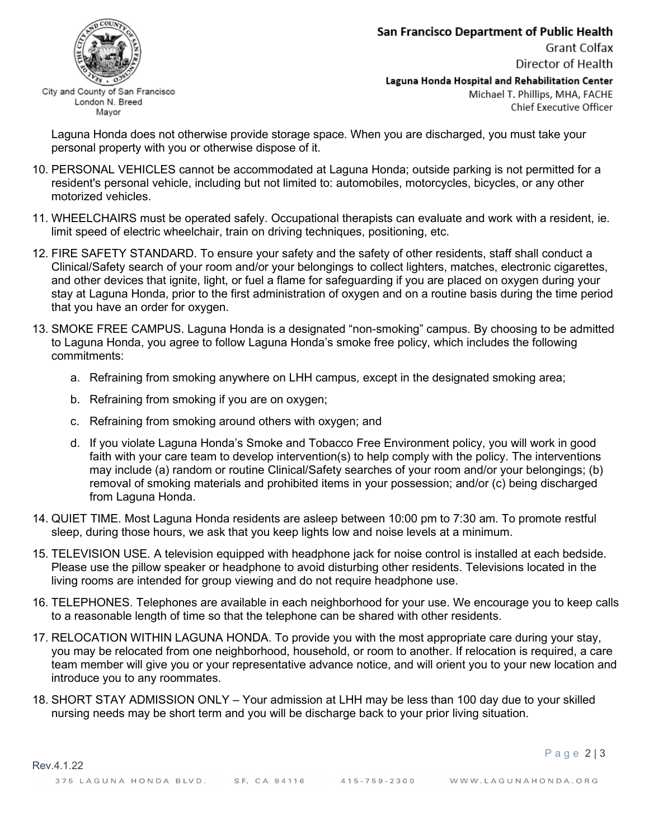## San Francisco Department of Public Health

Grant Colfax Director of Health

Page 2 | 3



City and County of San Francisco London N. Breed Mayor

Laguna Honda Hospital and Rehabilitation Center Michael T. Phillips, MHA, FACHE Chief Executive Officer

Laguna Honda does not otherwise provide storage space. When you are discharged, you must take your personal property with you or otherwise dispose of it.

- 10. PERSONAL VEHICLES cannot be accommodated at Laguna Honda; outside parking is not permitted for a resident's personal vehicle, including but not limited to: automobiles, motorcycles, bicycles, or any other motorized vehicles.
- 11. WHEELCHAIRS must be operated safely. Occupational therapists can evaluate and work with a resident, ie. limit speed of electric wheelchair, train on driving techniques, positioning, etc.
- 12. FIRE SAFETY STANDARD. To ensure your safety and the safety of other residents, staff shall conduct a Clinical/Safety search of your room and/or your belongings to collect lighters, matches, electronic cigarettes, and other devices that ignite, light, or fuel a flame for safeguarding if you are placed on oxygen during your stay at Laguna Honda, prior to the first administration of oxygen and on a routine basis during the time period that you have an order for oxygen.
- 13. SMOKE FREE CAMPUS. Laguna Honda is a designated "non-smoking" campus. By choosing to be admitted to Laguna Honda, you agree to follow Laguna Honda's smoke free policy, which includes the following commitments:
	- a. Refraining from smoking anywhere on LHH campus, except in the designated smoking area;
	- b. Refraining from smoking if you are on oxygen;
	- c. Refraining from smoking around others with oxygen; and
	- d. If you violate Laguna Honda's Smoke and Tobacco Free Environment policy, you will work in good faith with your care team to develop intervention(s) to help comply with the policy. The interventions may include (a) random or routine Clinical/Safety searches of your room and/or your belongings; (b) removal of smoking materials and prohibited items in your possession; and/or (c) being discharged from Laguna Honda.
- 14. QUIET TIME. Most Laguna Honda residents are asleep between 10:00 pm to 7:30 am. To promote restful sleep, during those hours, we ask that you keep lights low and noise levels at a minimum.
- 15. TELEVISION USE. A television equipped with headphone jack for noise control is installed at each bedside. Please use the pillow speaker or headphone to avoid disturbing other residents. Televisions located in the living rooms are intended for group viewing and do not require headphone use.
- 16. TELEPHONES. Telephones are available in each neighborhood for your use. We encourage you to keep calls to a reasonable length of time so that the telephone can be shared with other residents.
- 17. RELOCATION WITHIN LAGUNA HONDA. To provide you with the most appropriate care during your stay, you may be relocated from one neighborhood, household, or room to another. If relocation is required, a care team member will give you or your representative advance notice, and will orient you to your new location and introduce you to any roommates.
- 18. SHORT STAY ADMISSION ONLY Your admission at LHH may be less than 100 day due to your skilled nursing needs may be short term and you will be discharge back to your prior living situation.